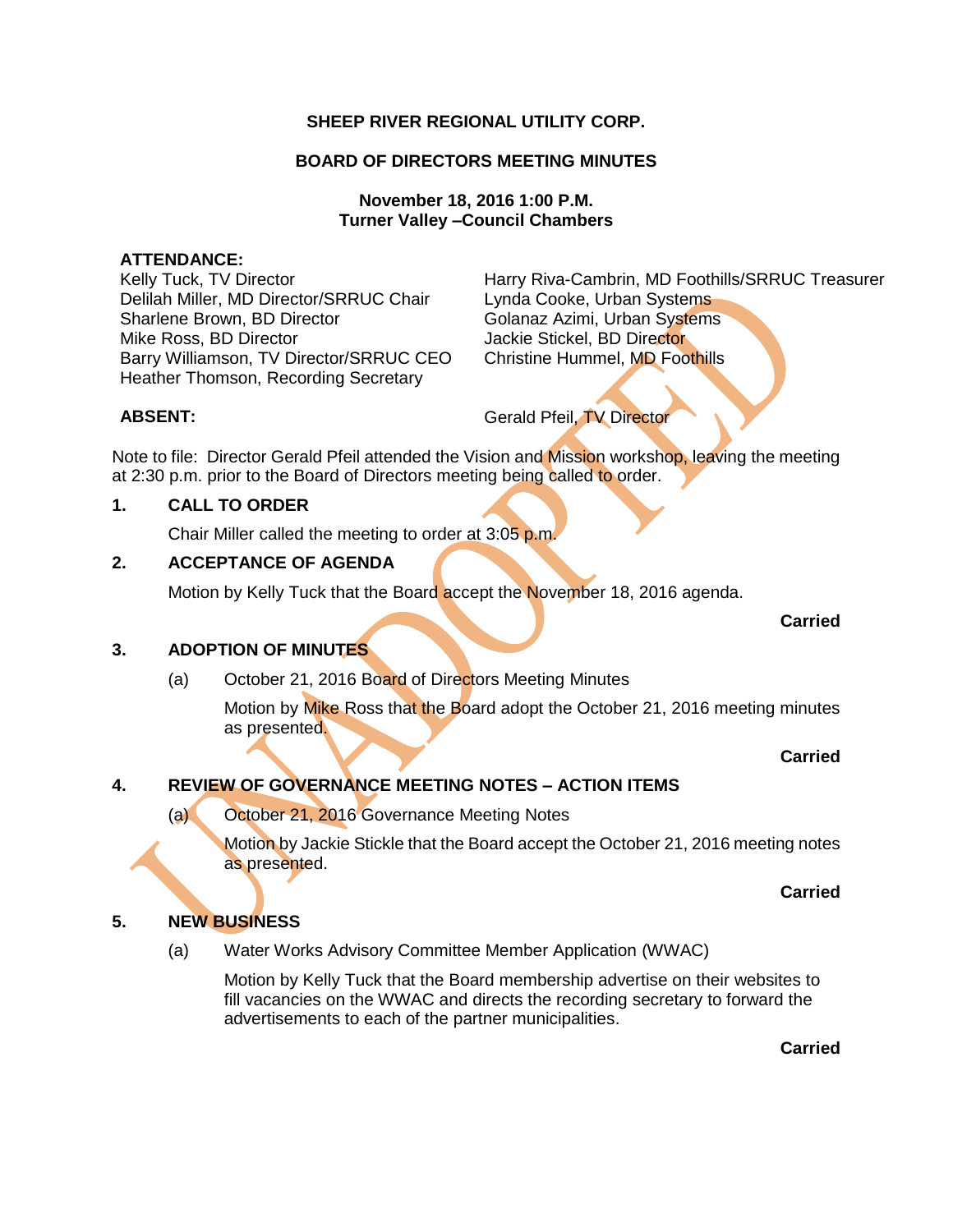# **SHEEP RIVER REGIONAL UTILITY CORP.**

# **BOARD OF DIRECTORS MEETING MINUTES**

## **November 18, 2016 1:00 P.M. Turner Valley –Council Chambers**

### **ATTENDANCE:**

Delilah Miller, MD Director/SRRUC Chair Lynda Cooke, Urban Systems Sharlene Brown, BD Director **Golanaz Azimi, Urban Systems** Mike Ross, BD Director **All and Stickel**, BD Director Jackie Stickel, BD Director Barry Williamson, TV Director/SRRUC CEO Christine Hummel, MD Foothills Heather Thomson, Recording Secretary

Kelly Tuck, TV Director **Harry Riva-Cambrin, MD Foothills/SRRUC Treasurer** 

**ABSENT:** Gerald Pfeil, TV Director

Note to file: Director Gerald Pfeil attended the Vision and Mission workshop, leaving the meeting at 2:30 p.m. prior to the Board of Directors meeting being called to order.

# **1. CALL TO ORDER**

Chair Miller called the meeting to order at 3:05 p.m.

# **2. ACCEPTANCE OF AGENDA**

Motion by Kelly Tuck that the Board accept the November 18, 2016 agenda.

#### **Carried**

# **3. ADOPTION OF MINUTES**

(a) October 21, 2016 Board of Directors Meeting Minutes

Motion by Mike Ross that the Board adopt the October 21, 2016 meeting minutes as presented.

## **Carried**

# **4. REVIEW OF GOVERNANCE MEETING NOTES – ACTION ITEMS**

(a) October 21, 2016 Governance Meeting Notes

Motion by Jackie Stickle that the Board accept the October 21, 2016 meeting notes as presented.

#### **Carried**

# **5. NEW BUSINESS**

(a) Water Works Advisory Committee Member Application (WWAC)

Motion by Kelly Tuck that the Board membership advertise on their websites to fill vacancies on the WWAC and directs the recording secretary to forward the advertisements to each of the partner municipalities.

**Carried**